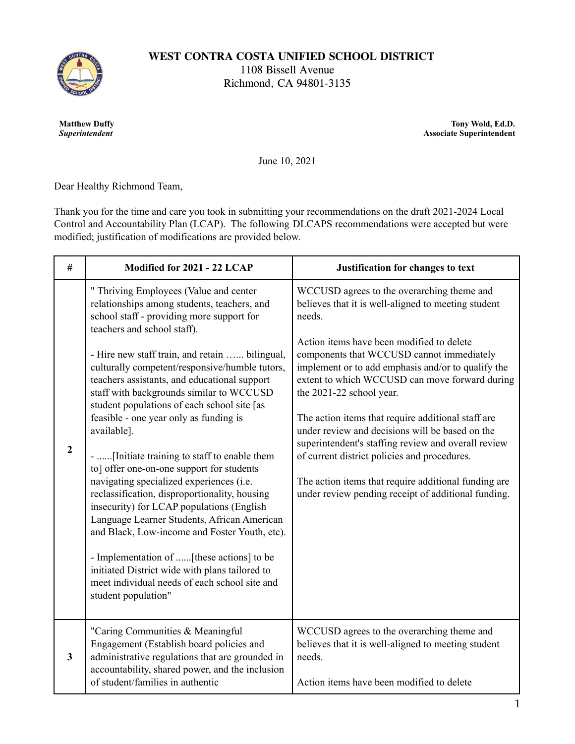

**WEST CONTRA COSTA UNIFIED SCHOOL DISTRICT**

1108 Bissell Avenue Richmond, CA 94801-3135

**Matthew Duffy** *Superintendent*

**Tony Wold, Ed.D. Associate Superintendent**

June 10, 2021

Dear Healthy Richmond Team,

Thank you for the time and care you took in submitting your recommendations on the draft 2021-2024 Local Control and Accountability Plan (LCAP). The following DLCAPS recommendations were accepted but were modified; justification of modifications are provided below.

| #                       | Modified for 2021 - 22 LCAP                                                                                                                                                                                                                                                                                                                                                                                                                                                                                                                                                                                                                                                                                                                                                                                                                                                                                                                                                              | Justification for changes to text                                                                                                                                                                                                                                                                                                                                                                                                                                                                                                                                                                                                                                        |
|-------------------------|------------------------------------------------------------------------------------------------------------------------------------------------------------------------------------------------------------------------------------------------------------------------------------------------------------------------------------------------------------------------------------------------------------------------------------------------------------------------------------------------------------------------------------------------------------------------------------------------------------------------------------------------------------------------------------------------------------------------------------------------------------------------------------------------------------------------------------------------------------------------------------------------------------------------------------------------------------------------------------------|--------------------------------------------------------------------------------------------------------------------------------------------------------------------------------------------------------------------------------------------------------------------------------------------------------------------------------------------------------------------------------------------------------------------------------------------------------------------------------------------------------------------------------------------------------------------------------------------------------------------------------------------------------------------------|
| $\overline{2}$          | " Thriving Employees (Value and center<br>relationships among students, teachers, and<br>school staff - providing more support for<br>teachers and school staff).<br>- Hire new staff train, and retain  bilingual,<br>culturally competent/responsive/humble tutors,<br>teachers assistants, and educational support<br>staff with backgrounds similar to WCCUSD<br>student populations of each school site [as<br>feasible - one year only as funding is<br>available].<br>- [Initiate training to staff to enable them<br>to] offer one-on-one support for students<br>navigating specialized experiences (i.e.<br>reclassification, disproportionality, housing<br>insecurity) for LCAP populations (English<br>Language Learner Students, African American<br>and Black, Low-income and Foster Youth, etc).<br>- Implementation of  [these actions] to be<br>initiated District wide with plans tailored to<br>meet individual needs of each school site and<br>student population" | WCCUSD agrees to the overarching theme and<br>believes that it is well-aligned to meeting student<br>needs.<br>Action items have been modified to delete<br>components that WCCUSD cannot immediately<br>implement or to add emphasis and/or to qualify the<br>extent to which WCCUSD can move forward during<br>the 2021-22 school year.<br>The action items that require additional staff are<br>under review and decisions will be based on the<br>superintendent's staffing review and overall review<br>of current district policies and procedures.<br>The action items that require additional funding are<br>under review pending receipt of additional funding. |
| $\overline{\mathbf{3}}$ | "Caring Communities & Meaningful<br>Engagement (Establish board policies and<br>administrative regulations that are grounded in<br>accountability, shared power, and the inclusion<br>of student/families in authentic                                                                                                                                                                                                                                                                                                                                                                                                                                                                                                                                                                                                                                                                                                                                                                   | WCCUSD agrees to the overarching theme and<br>believes that it is well-aligned to meeting student<br>needs.<br>Action items have been modified to delete                                                                                                                                                                                                                                                                                                                                                                                                                                                                                                                 |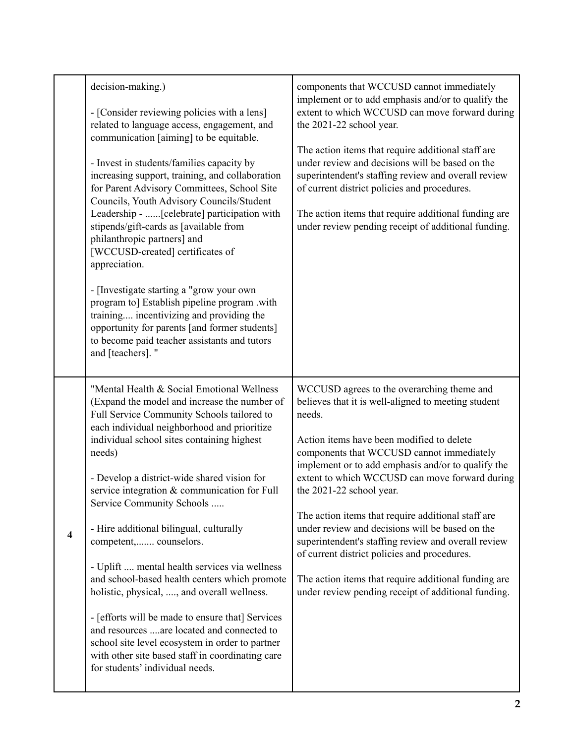|                         | decision-making.)<br>- [Consider reviewing policies with a lens]<br>related to language access, engagement, and<br>communication [aiming] to be equitable.<br>- Invest in students/families capacity by<br>increasing support, training, and collaboration<br>for Parent Advisory Committees, School Site<br>Councils, Youth Advisory Councils/Student<br>Leadership - [celebrate] participation with<br>stipends/gift-cards as [available from<br>philanthropic partners] and<br>[WCCUSD-created] certificates of<br>appreciation.<br>- [Investigate starting a "grow your own<br>program to] Establish pipeline program .with<br>training incentivizing and providing the<br>opportunity for parents [and former students]<br>to become paid teacher assistants and tutors                                                                  | components that WCCUSD cannot immediately<br>implement or to add emphasis and/or to qualify the<br>extent to which WCCUSD can move forward during<br>the 2021-22 school year.<br>The action items that require additional staff are<br>under review and decisions will be based on the<br>superintendent's staffing review and overall review<br>of current district policies and procedures.<br>The action items that require additional funding are<br>under review pending receipt of additional funding.                                                                                                                                                             |
|-------------------------|-----------------------------------------------------------------------------------------------------------------------------------------------------------------------------------------------------------------------------------------------------------------------------------------------------------------------------------------------------------------------------------------------------------------------------------------------------------------------------------------------------------------------------------------------------------------------------------------------------------------------------------------------------------------------------------------------------------------------------------------------------------------------------------------------------------------------------------------------|--------------------------------------------------------------------------------------------------------------------------------------------------------------------------------------------------------------------------------------------------------------------------------------------------------------------------------------------------------------------------------------------------------------------------------------------------------------------------------------------------------------------------------------------------------------------------------------------------------------------------------------------------------------------------|
|                         | and [teachers]. "                                                                                                                                                                                                                                                                                                                                                                                                                                                                                                                                                                                                                                                                                                                                                                                                                             |                                                                                                                                                                                                                                                                                                                                                                                                                                                                                                                                                                                                                                                                          |
| $\overline{\mathbf{4}}$ | "Mental Health & Social Emotional Wellness<br>(Expand the model and increase the number of<br>Full Service Community Schools tailored to<br>each individual neighborhood and prioritize<br>individual school sites containing highest<br>needs)<br>- Develop a district-wide shared vision for<br>service integration & communication for Full<br>Service Community Schools<br>- Hire additional bilingual, culturally<br>competent, counselors.<br>- Uplift  mental health services via wellness<br>and school-based health centers which promote<br>holistic, physical, , and overall wellness.<br>- [efforts will be made to ensure that] Services<br>and resources are located and connected to<br>school site level ecosystem in order to partner<br>with other site based staff in coordinating care<br>for students' individual needs. | WCCUSD agrees to the overarching theme and<br>believes that it is well-aligned to meeting student<br>needs.<br>Action items have been modified to delete<br>components that WCCUSD cannot immediately<br>implement or to add emphasis and/or to qualify the<br>extent to which WCCUSD can move forward during<br>the 2021-22 school year.<br>The action items that require additional staff are<br>under review and decisions will be based on the<br>superintendent's staffing review and overall review<br>of current district policies and procedures.<br>The action items that require additional funding are<br>under review pending receipt of additional funding. |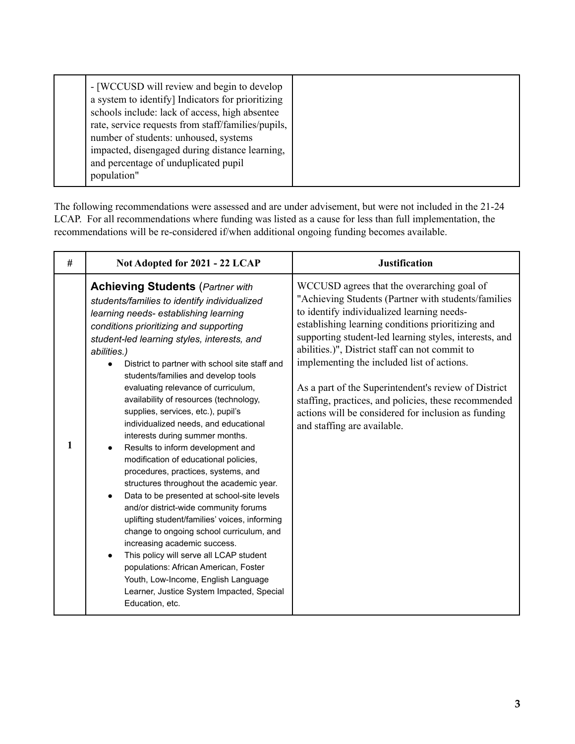| - [WCCUSD will review and begin to develop<br>a system to identify] Indicators for prioritizing<br>schools include: lack of access, high absentee<br>rate, service requests from staff/families/pupils,<br>number of students: unhoused, systems<br>impacted, disengaged during distance learning,<br>and percentage of unduplicated pupil |  |
|--------------------------------------------------------------------------------------------------------------------------------------------------------------------------------------------------------------------------------------------------------------------------------------------------------------------------------------------|--|
| population"                                                                                                                                                                                                                                                                                                                                |  |

The following recommendations were assessed and are under advisement, but were not included in the 21-24 LCAP. For all recommendations where funding was listed as a cause for less than full implementation, the recommendations will be re-considered if/when additional ongoing funding becomes available.

| # | Not Adopted for 2021 - 22 LCAP                                                                                                                                                                                                                                                                                                                                                                                                                                                                                                                                                                                                                                                                                                                                                                                                                                                                                                                                                                                                                                                                                       | <b>Justification</b>                                                                                                                                                                                                                                                                                                                                                                                                                                                                                                                                                 |
|---|----------------------------------------------------------------------------------------------------------------------------------------------------------------------------------------------------------------------------------------------------------------------------------------------------------------------------------------------------------------------------------------------------------------------------------------------------------------------------------------------------------------------------------------------------------------------------------------------------------------------------------------------------------------------------------------------------------------------------------------------------------------------------------------------------------------------------------------------------------------------------------------------------------------------------------------------------------------------------------------------------------------------------------------------------------------------------------------------------------------------|----------------------------------------------------------------------------------------------------------------------------------------------------------------------------------------------------------------------------------------------------------------------------------------------------------------------------------------------------------------------------------------------------------------------------------------------------------------------------------------------------------------------------------------------------------------------|
| 1 | <b>Achieving Students (Partner with</b><br>students/families to identify individualized<br>learning needs- establishing learning<br>conditions prioritizing and supporting<br>student-led learning styles, interests, and<br>abilities.)<br>District to partner with school site staff and<br>students/families and develop tools<br>evaluating relevance of curriculum,<br>availability of resources (technology,<br>supplies, services, etc.), pupil's<br>individualized needs, and educational<br>interests during summer months.<br>Results to inform development and<br>modification of educational policies,<br>procedures, practices, systems, and<br>structures throughout the academic year.<br>Data to be presented at school-site levels<br>and/or district-wide community forums<br>uplifting student/families' voices, informing<br>change to ongoing school curriculum, and<br>increasing academic success.<br>This policy will serve all LCAP student<br>populations: African American, Foster<br>Youth, Low-Income, English Language<br>Learner, Justice System Impacted, Special<br>Education, etc. | WCCUSD agrees that the overarching goal of<br>"Achieving Students (Partner with students/families<br>to identify individualized learning needs-<br>establishing learning conditions prioritizing and<br>supporting student-led learning styles, interests, and<br>abilities.)", District staff can not commit to<br>implementing the included list of actions.<br>As a part of the Superintendent's review of District<br>staffing, practices, and policies, these recommended<br>actions will be considered for inclusion as funding<br>and staffing are available. |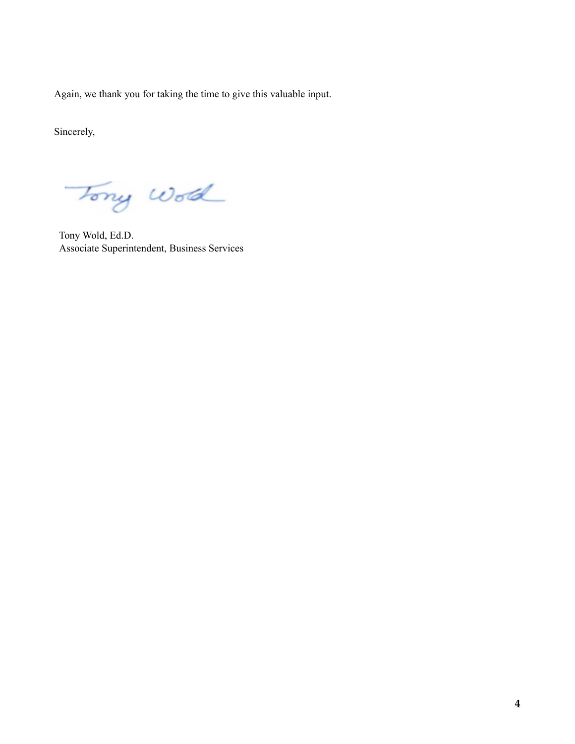Again, we thank you for taking the time to give this valuable input.

Sincerely,

Tony Word

Tony Wold, Ed.D. Associate Superintendent, Business Services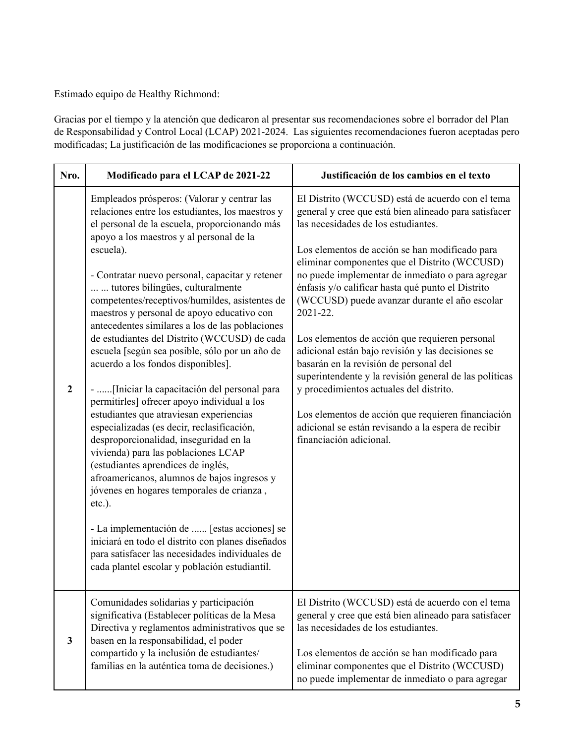Estimado equipo de Healthy Richmond:

Gracias por el tiempo y la atención que dedicaron al presentar sus recomendaciones sobre el borrador del Plan de Responsabilidad y Control Local (LCAP) 2021-2024. Las siguientes recomendaciones fueron aceptadas pero modificadas; La justificación de las modificaciones se proporciona a continuación.

| Nro.           | Modificado para el LCAP de 2021-22                                                                                                                                                                                                                                                                                                                                                                                                                                                                                                                                                                                                                                                                                                                                                                                                                                                                                                                                                                                                                                                                                                                                                                                       | Justificación de los cambios en el texto                                                                                                                                                                                                                                                                                                                                                                                                                                                                                                                                                                                                                                                                                                                                                                                |
|----------------|--------------------------------------------------------------------------------------------------------------------------------------------------------------------------------------------------------------------------------------------------------------------------------------------------------------------------------------------------------------------------------------------------------------------------------------------------------------------------------------------------------------------------------------------------------------------------------------------------------------------------------------------------------------------------------------------------------------------------------------------------------------------------------------------------------------------------------------------------------------------------------------------------------------------------------------------------------------------------------------------------------------------------------------------------------------------------------------------------------------------------------------------------------------------------------------------------------------------------|-------------------------------------------------------------------------------------------------------------------------------------------------------------------------------------------------------------------------------------------------------------------------------------------------------------------------------------------------------------------------------------------------------------------------------------------------------------------------------------------------------------------------------------------------------------------------------------------------------------------------------------------------------------------------------------------------------------------------------------------------------------------------------------------------------------------------|
| $\overline{2}$ | Empleados prósperos: (Valorar y centrar las<br>relaciones entre los estudiantes, los maestros y<br>el personal de la escuela, proporcionando más<br>apoyo a los maestros y al personal de la<br>escuela).<br>- Contratar nuevo personal, capacitar y retener<br>tutores bilingües, culturalmente<br>competentes/receptivos/humildes, asistentes de<br>maestros y personal de apoyo educativo con<br>antecedentes similares a los de las poblaciones<br>de estudiantes del Distrito (WCCUSD) de cada<br>escuela [según sea posible, sólo por un año de<br>acuerdo a los fondos disponibles].<br>- [Iniciar la capacitación del personal para<br>permitirles] ofrecer apoyo individual a los<br>estudiantes que atraviesan experiencias<br>especializadas (es decir, reclasificación,<br>desproporcionalidad, inseguridad en la<br>vivienda) para las poblaciones LCAP<br>(estudiantes aprendices de inglés,<br>afroamericanos, alumnos de bajos ingresos y<br>jóvenes en hogares temporales de crianza,<br>etc.).<br>- La implementación de  [estas acciones] se<br>iniciará en todo el distrito con planes diseñados<br>para satisfacer las necesidades individuales de<br>cada plantel escolar y población estudiantil. | El Distrito (WCCUSD) está de acuerdo con el tema<br>general y cree que está bien alineado para satisfacer<br>las necesidades de los estudiantes.<br>Los elementos de acción se han modificado para<br>eliminar componentes que el Distrito (WCCUSD)<br>no puede implementar de inmediato o para agregar<br>énfasis y/o calificar hasta qué punto el Distrito<br>(WCCUSD) puede avanzar durante el año escolar<br>2021-22.<br>Los elementos de acción que requieren personal<br>adicional están bajo revisión y las decisiones se<br>basarán en la revisión de personal del<br>superintendente y la revisión general de las políticas<br>y procedimientos actuales del distrito.<br>Los elementos de acción que requieren financiación<br>adicional se están revisando a la espera de recibir<br>financiación adicional. |
| $\mathbf{3}$   | Comunidades solidarias y participación<br>significativa (Establecer políticas de la Mesa<br>Directiva y reglamentos administrativos que se<br>basen en la responsabilidad, el poder<br>compartido y la inclusión de estudiantes/<br>familias en la auténtica toma de decisiones.)                                                                                                                                                                                                                                                                                                                                                                                                                                                                                                                                                                                                                                                                                                                                                                                                                                                                                                                                        | El Distrito (WCCUSD) está de acuerdo con el tema<br>general y cree que está bien alineado para satisfacer<br>las necesidades de los estudiantes.<br>Los elementos de acción se han modificado para<br>eliminar componentes que el Distrito (WCCUSD)<br>no puede implementar de inmediato o para agregar                                                                                                                                                                                                                                                                                                                                                                                                                                                                                                                 |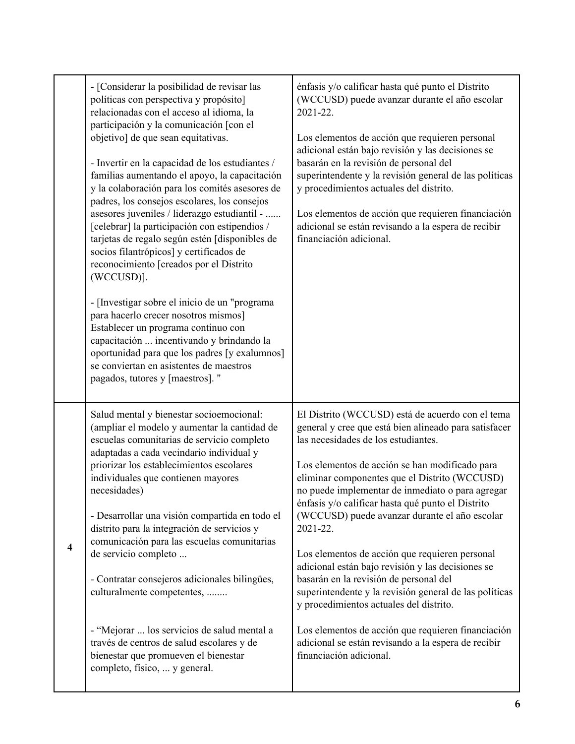|                         | - [Considerar la posibilidad de revisar las<br>políticas con perspectiva y propósito]<br>relacionadas con el acceso al idioma, la<br>participación y la comunicación [con el<br>objetivo] de que sean equitativas.<br>- Invertir en la capacidad de los estudiantes /<br>familias aumentando el apoyo, la capacitación<br>y la colaboración para los comités asesores de<br>padres, los consejos escolares, los consejos<br>asesores juveniles / liderazgo estudiantil -<br>[celebrar] la participación con estipendios /<br>tarjetas de regalo según estén [disponibles de<br>socios filantrópicos] y certificados de<br>reconocimiento [creados por el Distrito<br>(WCCUSD)].<br>- [Investigar sobre el inicio de un "programa"<br>para hacerlo crecer nosotros mismos]<br>Establecer un programa continuo con<br>capacitación  incentivando y brindando la<br>oportunidad para que los padres [y exalumnos]<br>se conviertan en asistentes de maestros<br>pagados, tutores y [maestros]. " | énfasis y/o calificar hasta qué punto el Distrito<br>(WCCUSD) puede avanzar durante el año escolar<br>2021-22.<br>Los elementos de acción que requieren personal<br>adicional están bajo revisión y las decisiones se<br>basarán en la revisión de personal del<br>superintendente y la revisión general de las políticas<br>y procedimientos actuales del distrito.<br>Los elementos de acción que requieren financiación<br>adicional se están revisando a la espera de recibir<br>financiación adicional.                                                                                                                                                                                                                                                                                                            |
|-------------------------|-----------------------------------------------------------------------------------------------------------------------------------------------------------------------------------------------------------------------------------------------------------------------------------------------------------------------------------------------------------------------------------------------------------------------------------------------------------------------------------------------------------------------------------------------------------------------------------------------------------------------------------------------------------------------------------------------------------------------------------------------------------------------------------------------------------------------------------------------------------------------------------------------------------------------------------------------------------------------------------------------|-------------------------------------------------------------------------------------------------------------------------------------------------------------------------------------------------------------------------------------------------------------------------------------------------------------------------------------------------------------------------------------------------------------------------------------------------------------------------------------------------------------------------------------------------------------------------------------------------------------------------------------------------------------------------------------------------------------------------------------------------------------------------------------------------------------------------|
| $\overline{\mathbf{4}}$ | Salud mental y bienestar socioemocional:<br>(ampliar el modelo y aumentar la cantidad de<br>escuelas comunitarias de servicio completo<br>adaptadas a cada vecindario individual y<br>priorizar los establecimientos escolares<br>individuales que contienen mayores<br>necesidades)<br>- Desarrollar una visión compartida en todo el<br>distrito para la integración de servicios y<br>comunicación para las escuelas comunitarias<br>de servicio completo<br>- Contratar consejeros adicionales bilingües,<br>culturalmente competentes,<br>- "Mejorar  los servicios de salud mental a<br>través de centros de salud escolares y de<br>bienestar que promueven el bienestar<br>completo, físico,  y general.                                                                                                                                                                                                                                                                              | El Distrito (WCCUSD) está de acuerdo con el tema<br>general y cree que está bien alineado para satisfacer<br>las necesidades de los estudiantes.<br>Los elementos de acción se han modificado para<br>eliminar componentes que el Distrito (WCCUSD)<br>no puede implementar de inmediato o para agregar<br>énfasis y/o calificar hasta qué punto el Distrito<br>(WCCUSD) puede avanzar durante el año escolar<br>2021-22.<br>Los elementos de acción que requieren personal<br>adicional están bajo revisión y las decisiones se<br>basarán en la revisión de personal del<br>superintendente y la revisión general de las políticas<br>y procedimientos actuales del distrito.<br>Los elementos de acción que requieren financiación<br>adicional se están revisando a la espera de recibir<br>financiación adicional. |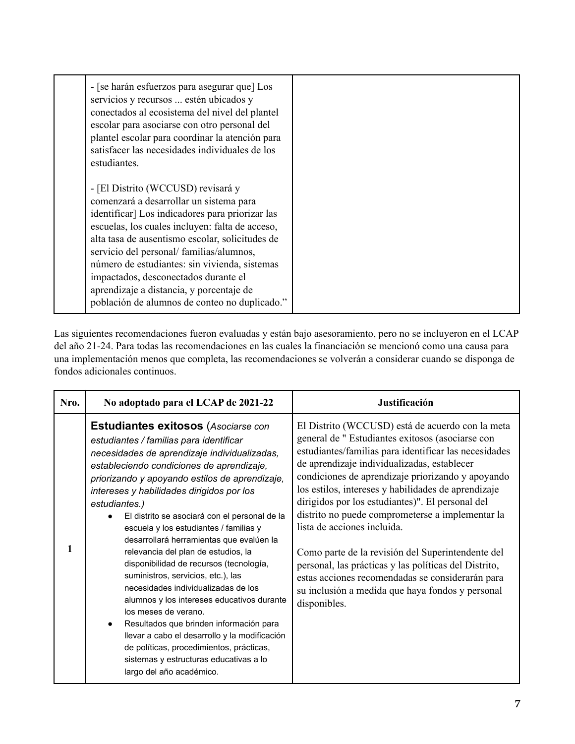| - [se harán esfuerzos para asegurar que] Los<br>servicios y recursos  estén ubicados y<br>conectados al ecosistema del nivel del plantel<br>escolar para asociarse con otro personal del<br>plantel escolar para coordinar la atención para<br>satisfacer las necesidades individuales de los<br>estudiantes.                                                                                                                                                           |  |
|-------------------------------------------------------------------------------------------------------------------------------------------------------------------------------------------------------------------------------------------------------------------------------------------------------------------------------------------------------------------------------------------------------------------------------------------------------------------------|--|
| - [El Distrito (WCCUSD) revisará y<br>comenzará a desarrollar un sistema para<br>identificar] Los indicadores para priorizar las<br>escuelas, los cuales incluyen: falta de acceso,<br>alta tasa de ausentismo escolar, solicitudes de<br>servicio del personal/familias/alumnos,<br>número de estudiantes: sin vivienda, sistemas<br>impactados, desconectados durante el<br>aprendizaje a distancia, y porcentaje de<br>población de alumnos de conteo no duplicado." |  |

Las siguientes recomendaciones fueron evaluadas y están bajo asesoramiento, pero no se incluyeron en el LCAP del año 21-24. Para todas las recomendaciones en las cuales la financiación se mencionó como una causa para una implementación menos que completa, las recomendaciones se volverán a considerar cuando se disponga de fondos adicionales continuos.

| Nro. | No adoptado para el LCAP de 2021-22                                                                                                                                                                                                                                                                                                                                                                                                                                                                                                                                                                                                                                                                                                                                                                                                                                                          | Justificación                                                                                                                                                                                                                                                                                                                                                                                                                                                                                                                                                                                                                                                                                        |
|------|----------------------------------------------------------------------------------------------------------------------------------------------------------------------------------------------------------------------------------------------------------------------------------------------------------------------------------------------------------------------------------------------------------------------------------------------------------------------------------------------------------------------------------------------------------------------------------------------------------------------------------------------------------------------------------------------------------------------------------------------------------------------------------------------------------------------------------------------------------------------------------------------|------------------------------------------------------------------------------------------------------------------------------------------------------------------------------------------------------------------------------------------------------------------------------------------------------------------------------------------------------------------------------------------------------------------------------------------------------------------------------------------------------------------------------------------------------------------------------------------------------------------------------------------------------------------------------------------------------|
| 1    | <b>Estudiantes exitosos</b> (Asociarse con<br>estudiantes / familias para identificar<br>necesidades de aprendizaje individualizadas,<br>estableciendo condiciones de aprendizaje,<br>priorizando y apoyando estilos de aprendizaje,<br>intereses y habilidades dirigidos por los<br>estudiantes.)<br>El distrito se asociará con el personal de la<br>escuela y los estudiantes / familias y<br>desarrollará herramientas que evalúen la<br>relevancia del plan de estudios, la<br>disponibilidad de recursos (tecnología,<br>suministros, servicios, etc.), las<br>necesidades individualizadas de los<br>alumnos y los intereses educativos durante<br>los meses de verano.<br>Resultados que brinden información para<br>llevar a cabo el desarrollo y la modificación<br>de políticas, procedimientos, prácticas,<br>sistemas y estructuras educativas a lo<br>largo del año académico. | El Distrito (WCCUSD) está de acuerdo con la meta<br>general de "Estudiantes exitosos (asociarse con<br>estudiantes/familias para identificar las necesidades<br>de aprendizaje individualizadas, establecer<br>condiciones de aprendizaje priorizando y apoyando<br>los estilos, intereses y habilidades de aprendizaje<br>dirigidos por los estudiantes)". El personal del<br>distrito no puede comprometerse a implementar la<br>lista de acciones incluida.<br>Como parte de la revisión del Superintendente del<br>personal, las prácticas y las políticas del Distrito,<br>estas acciones recomendadas se considerarán para<br>su inclusión a medida que haya fondos y personal<br>disponibles. |